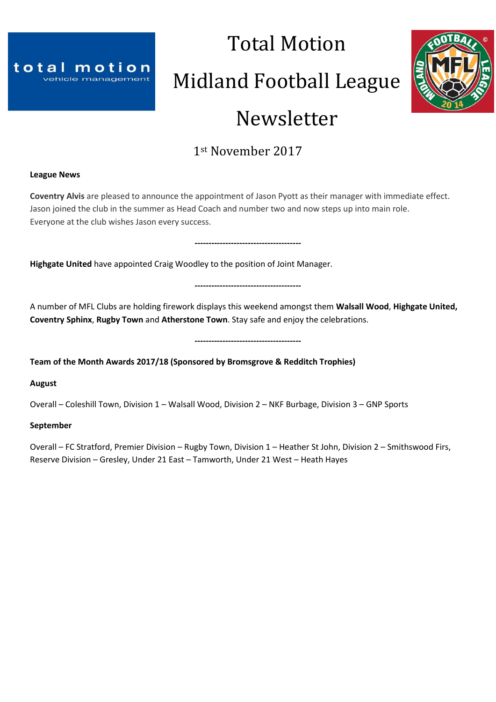

# Total Motion Midland Football League Newsletter



## 1st November 2017

## **League News**

**Coventry Alvis** are pleased to announce the appointment of Jason Pyott as their manager with immediate effect. Jason joined the club in the summer as Head Coach and number two and now steps up into main role. Everyone at the club wishes Jason every success.

**Highgate United** have appointed Craig Woodley to the position of Joint Manager.

**--------------------------------------**

**--------------------------------------**

A number of MFL Clubs are holding firework displays this weekend amongst them **Walsall Wood**, **Highgate United, Coventry Sphinx**, **Rugby Town** and **Atherstone Town**. Stay safe and enjoy the celebrations.

**--------------------------------------**

**Team of the Month Awards 2017/18 (Sponsored by Bromsgrove & Redditch Trophies)**

**August**

Overall – Coleshill Town, Division 1 – Walsall Wood, Division 2 – NKF Burbage, Division 3 – GNP Sports

## **September**

Overall – FC Stratford, Premier Division – Rugby Town, Division 1 – Heather St John, Division 2 – Smithswood Firs, Reserve Division – Gresley, Under 21 East – Tamworth, Under 21 West – Heath Hayes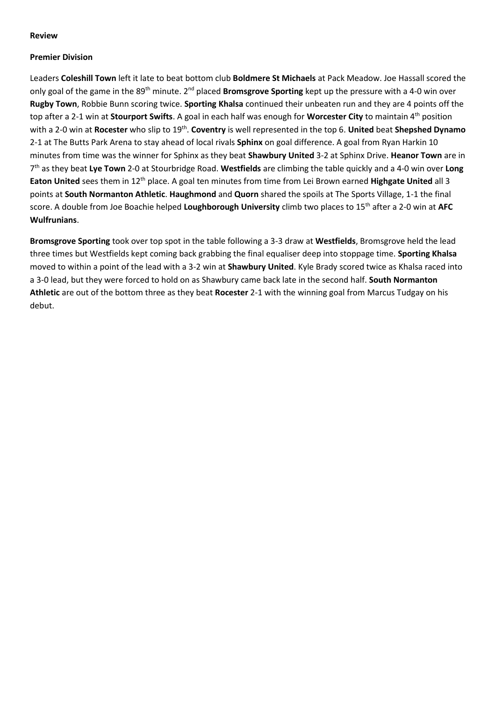## **Review**

## **Premier Division**

Leaders **Coleshill Town** left it late to beat bottom club **Boldmere St Michaels** at Pack Meadow. Joe Hassall scored the only goal of the game in the 89th minute. 2nd placed **Bromsgrove Sporting** kept up the pressure with a 4-0 win over **Rugby Town**, Robbie Bunn scoring twice. **Sporting Khalsa** continued their unbeaten run and they are 4 points off the top after a 2-1 win at **Stourport Swifts**. A goal in each half was enough for **Worcester City** to maintain 4th position with a 2-0 win at **Rocester** who slip to 19<sup>th</sup>. **Coventry** is well represented in the top 6. **United** beat **Shepshed Dynamo** 2-1 at The Butts Park Arena to stay ahead of local rivals **Sphinx** on goal difference. A goal from Ryan Harkin 10 minutes from time was the winner for Sphinx as they beat **Shawbury United** 3-2 at Sphinx Drive. **Heanor Town** are in 7 th as they beat **Lye Town** 2-0 at Stourbridge Road. **Westfields** are climbing the table quickly and a 4-0 win over **Long Eaton United** sees them in 12th place. A goal ten minutes from time from Lei Brown earned **Highgate United** all 3 points at **South Normanton Athletic**. **Haughmond** and **Quorn** shared the spoils at The Sports Village, 1-1 the final score. A double from Joe Boachie helped **Loughborough University** climb two places to 15th after a 2-0 win at **AFC Wulfrunians**.

**Bromsgrove Sporting** took over top spot in the table following a 3-3 draw at **Westfields**, Bromsgrove held the lead three times but Westfields kept coming back grabbing the final equaliser deep into stoppage time. **Sporting Khalsa** moved to within a point of the lead with a 3-2 win at **Shawbury United**. Kyle Brady scored twice as Khalsa raced into a 3-0 lead, but they were forced to hold on as Shawbury came back late in the second half. **South Normanton Athletic** are out of the bottom three as they beat **Rocester** 2-1 with the winning goal from Marcus Tudgay on his debut.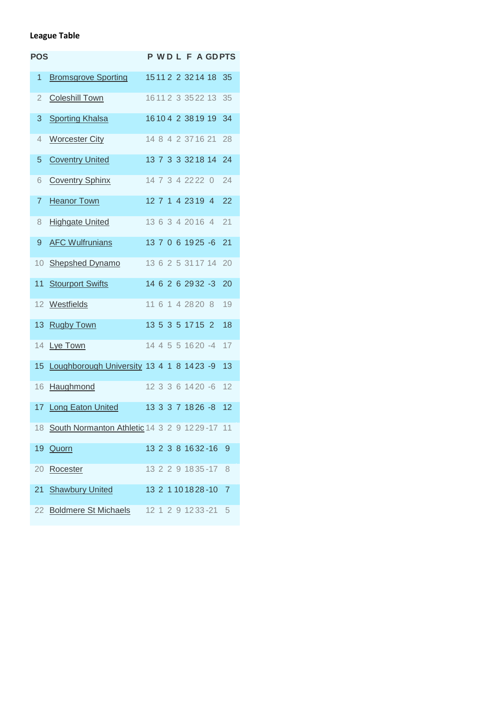## **League Table**

| <b>POS</b>     |                                              |  |  |                   |                       | <b>PWDLFAGDPTS</b> |
|----------------|----------------------------------------------|--|--|-------------------|-----------------------|--------------------|
| 1              | <b>Bromsgrove Sporting</b>                   |  |  |                   | 15 11 2 2 3 2 1 4 1 8 | 35                 |
| $\overline{2}$ | <b>Coleshill Town</b>                        |  |  |                   | 16 11 2 3 35 22 13    | 35                 |
| 3              | <b>Sporting Khalsa</b>                       |  |  |                   | 16104 2 3819 19       | 34                 |
| 4              | <b>Worcester City</b>                        |  |  |                   | 14 8 4 2 37 16 21     | 28                 |
| 5              | <b>Coventry United</b>                       |  |  |                   | 13 7 3 3 3 2 1 8 1 4  | 24                 |
| 6              | <b>Coventry Sphinx</b>                       |  |  | 14 7 3 4 22 22 0  |                       | 24                 |
| $\overline{7}$ | <b>Heanor Town</b>                           |  |  | 12 7 1 4 23 19 4  |                       | 22                 |
| 8              | <b>Highgate United</b>                       |  |  | 13 6 3 4 20 16 4  |                       | 21                 |
| 9              | <b>AFC Wulfrunians</b>                       |  |  | 13 7 0 6 19 25 -6 |                       | 21                 |
| 10             | <b>Shepshed Dynamo</b>                       |  |  |                   | 13 6 2 5 31 17 14     | 20                 |
| 11             | <b>Stourport Swifts</b>                      |  |  |                   | 14 6 2 6 29 32 -3     | 20                 |
| 12             | Westfields                                   |  |  | 11 6 1 4 28 20 8  |                       | 19                 |
| 13             | <b>Rugby Town</b>                            |  |  | 13 5 3 5 17 15 2  |                       | 18                 |
|                | 14 Lye Town                                  |  |  |                   | 14 4 5 5 16 20 -4     | 17                 |
|                | 15 Loughborough University 13 4 1 8 14 23 -9 |  |  |                   |                       | 13                 |
| 16             | Haughmond                                    |  |  | 12 3 3 6 14 20 -6 |                       | 12                 |
|                | 17 Long Eaton United                         |  |  |                   | 13 3 3 7 18 26 -8     | 12                 |
| 18             | South Normanton Athletic 14 3 2 9 1229-17 11 |  |  |                   |                       |                    |
| 19             | Quorn                                        |  |  |                   | 13 2 3 8 16 32 - 16   | 9                  |
| 20             | Rocester                                     |  |  |                   | 13 2 2 9 18 35 - 17   | - 8                |
| 21             | <b>Shawbury United</b>                       |  |  |                   | 13 2 1 10 18 28 - 10  | 7                  |
| 22             | <b>Boldmere St Michaels</b>                  |  |  |                   | 12 1 2 9 1233-21 5    |                    |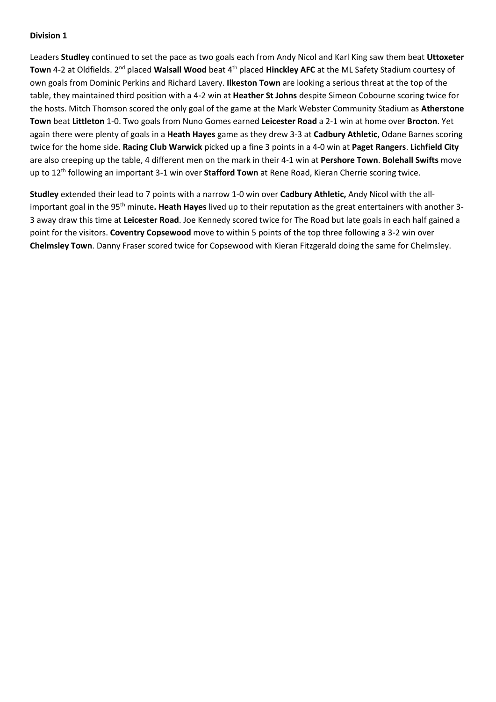Leaders **Studley** continued to set the pace as two goals each from Andy Nicol and Karl King saw them beat **Uttoxeter Town** 4-2 at Oldfields. 2<sup>nd</sup> placed Walsall Wood beat 4<sup>th</sup> placed Hinckley AFC at the ML Safety Stadium courtesy of own goals from Dominic Perkins and Richard Lavery. **Ilkeston Town** are looking a serious threat at the top of the table, they maintained third position with a 4-2 win at **Heather St Johns** despite Simeon Cobourne scoring twice for the hosts. Mitch Thomson scored the only goal of the game at the Mark Webster Community Stadium as **Atherstone Town** beat **Littleton** 1-0. Two goals from Nuno Gomes earned **Leicester Road** a 2-1 win at home over **Brocton**. Yet again there were plenty of goals in a **Heath Hayes** game as they drew 3-3 at **Cadbury Athletic**, Odane Barnes scoring twice for the home side. **Racing Club Warwick** picked up a fine 3 points in a 4-0 win at **Paget Rangers**. **Lichfield City** are also creeping up the table, 4 different men on the mark in their 4-1 win at **Pershore Town**. **Bolehall Swifts** move up to 12th following an important 3-1 win over **Stafford Town** at Rene Road, Kieran Cherrie scoring twice.

**Studley** extended their lead to 7 points with a narrow 1-0 win over **Cadbury Athletic,** Andy Nicol with the allimportant goal in the 95th minute**. Heath Hayes** lived up to their reputation as the great entertainers with another 3- 3 away draw this time at **Leicester Road**. Joe Kennedy scored twice for The Road but late goals in each half gained a point for the visitors. **Coventry Copsewood** move to within 5 points of the top three following a 3-2 win over **Chelmsley Town**. Danny Fraser scored twice for Copsewood with Kieran Fitzgerald doing the same for Chelmsley.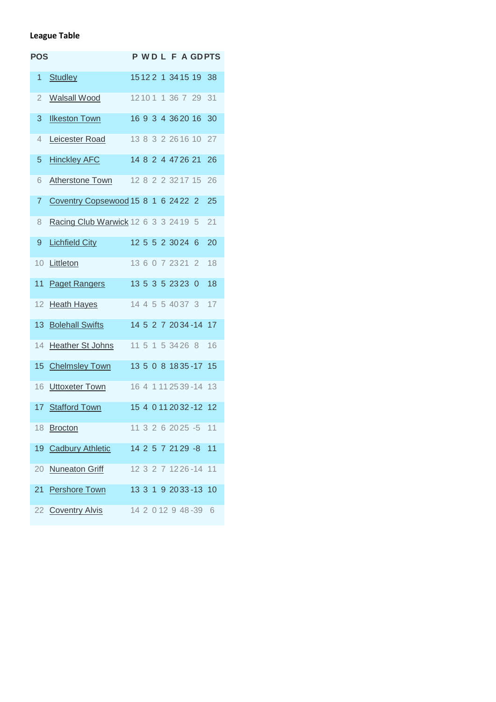## **League Table**

| <b>POS</b>      |                                      |  |  |                  |                         | <b>PWDLFAGDPTS</b> |
|-----------------|--------------------------------------|--|--|------------------|-------------------------|--------------------|
| 1               | <b>Studley</b>                       |  |  |                  | 15122 1 3415 19 38      |                    |
| 2               | <b>Walsall Wood</b>                  |  |  |                  | 12101 1 36 7 29         | 31                 |
| 3               | <b>Ilkeston Town</b>                 |  |  |                  | 16 9 3 4 36 20 16       | 30                 |
| 4               | Leicester Road                       |  |  |                  | 13 8 3 2 26 16 10       | 27                 |
| 5               | <b>Hinckley AFC</b>                  |  |  |                  | 14 8 2 4 47 26 21       | 26                 |
| 6               | <b>Atherstone Town</b>               |  |  |                  | 12 8 2 2 3 2 1 7 1 5    | 26                 |
| $\overline{7}$  | Coventry Copsewood 15 8 1 6 24 22 2  |  |  |                  |                         | 25                 |
| 8               | Racing Club Warwick 12 6 3 3 24 19 5 |  |  |                  |                         | 21                 |
| 9               | <b>Lichfield City</b>                |  |  | 12 5 5 2 30 24 6 |                         | 20                 |
| 10              | Littleton                            |  |  |                  | 13 6 0 7 23 21 2        | 18                 |
| 11              | <b>Paget Rangers</b>                 |  |  | 13 5 3 5 23 23 0 |                         | 18                 |
| 12              | <b>Heath Hayes</b>                   |  |  |                  | 14 4 5 5 40 37 3        | 17                 |
| 13              | <b>Bolehall Swifts</b>               |  |  |                  | 14 5 2 7 20 34 - 14 17  |                    |
| 14              | <b>Heather St Johns</b>              |  |  |                  | 11 5 1 5 34 26 8        | 16                 |
| 15              | <b>Chelmsley Town</b>                |  |  |                  | 13 5 0 8 1835-17 15     |                    |
| 16              | <b>Uttoxeter Town</b>                |  |  |                  | 16 4 1 11 25 39 - 14 13 |                    |
| 17 <sup>2</sup> | <b>Stafford Town</b>                 |  |  |                  | 15 4 0 11 20 32 - 12 12 |                    |
| 18              | <b>Brocton</b>                       |  |  |                  | 11 3 2 6 20 25 -5       | 11                 |
| 19              | <b>Cadbury Athletic</b>              |  |  |                  | 14 2 5 7 21 29 -8       | 11                 |
| 20              | <b>Nuneaton Griff</b>                |  |  |                  | 12 3 2 7 12 26 - 14     | 11                 |
| 21              | <b>Pershore Town</b>                 |  |  |                  | 13 3 1 9 20 33 - 13 10  |                    |
|                 | 22 Coventry Alvis                    |  |  |                  | 14 2 0 12 9 48 - 39     | - 6                |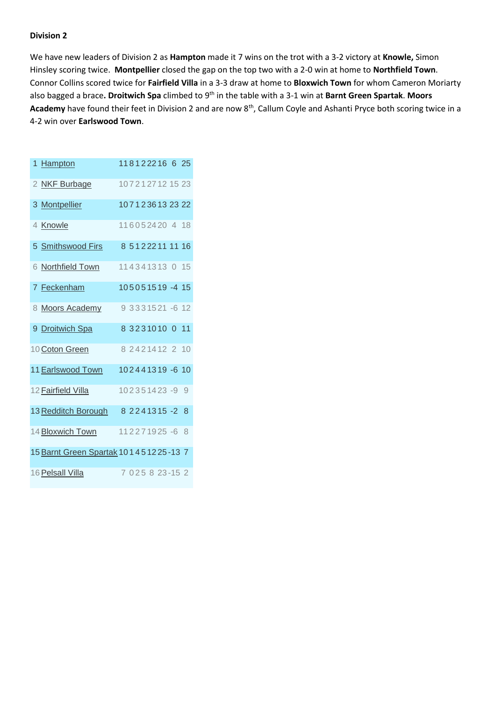We have new leaders of Division 2 as **Hampton** made it 7 wins on the trot with a 3-2 victory at **Knowle,** Simon Hinsley scoring twice. **Montpellier** closed the gap on the top two with a 2-0 win at home to **Northfield Town**. Connor Collins scored twice for **Fairfield Villa** in a 3-3 draw at home to **Bloxwich Town** for whom Cameron Moriarty also bagged a brace**. Droitwich Spa** climbed to 9th in the table with a 3-1 win at **Barnt Green Spartak**. **Moors**  Academy have found their feet in Division 2 and are now 8<sup>th</sup>, Callum Coyle and Ashanti Pryce both scoring twice in a 4-2 win over **Earlswood Town**.

| 1 Hampton                                    |  |  |  |                           | 118122216 6 25 |
|----------------------------------------------|--|--|--|---------------------------|----------------|
| 2 NKF Burbage                                |  |  |  | 1072127121523             |                |
| 3 Montpellier                                |  |  |  | 1071236132322             |                |
| 4 Knowle                                     |  |  |  | 116052420 4 18            |                |
| 5 Smithswood Firs                            |  |  |  | 8 5 1 2 2 2 1 1 1 1 1 1 6 |                |
| 6 Northfield Town                            |  |  |  | 114341313 0 15            |                |
| 7 Feckenham                                  |  |  |  | 105051519-415             |                |
| 8 Moors Academy                              |  |  |  | 9 3 3 3 1 5 2 1 - 6 1 2   |                |
| 9 Droitwich Spa                              |  |  |  | 8 3 2 3 1 0 1 0 1 1       |                |
| 10 Coton Green                               |  |  |  | 8 24 214 12 2 10          |                |
| 11 Earlswood Town                            |  |  |  | 102441319-6 10            |                |
| 12 Fairfield Villa                           |  |  |  | 102351423-99              |                |
| 13 Redditch Borough                          |  |  |  | 8 2 2 4 1 3 1 5 - 2 8     |                |
|                                              |  |  |  |                           |                |
| 14 Bloxwich Town                             |  |  |  | 112271925-68              |                |
| 15 Barnt Green Spartak 10 1 4 5 12 25 - 13 7 |  |  |  |                           |                |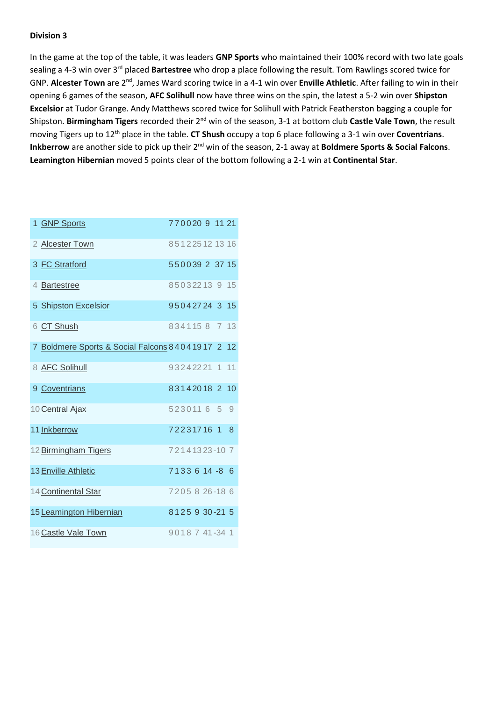In the game at the top of the table, it was leaders **GNP Sports** who maintained their 100% record with two late goals sealing a 4-3 win over 3rd placed **Bartestree** who drop a place following the result. Tom Rawlings scored twice for GNP. **Alcester Town** are 2nd, James Ward scoring twice in a 4-1 win over **Enville Athletic**. After failing to win in their opening 6 games of the season, **AFC Solihull** now have three wins on the spin, the latest a 5-2 win over **Shipston Excelsior** at Tudor Grange. Andy Matthews scored twice for Solihull with Patrick Featherston bagging a couple for Shipston. **Birmingham Tigers** recorded their 2nd win of the season, 3-1 at bottom club **Castle Vale Town**, the result moving Tigers up to 12th place in the table. **CT Shush** occupy a top 6 place following a 3-1 win over **Coventrians**. **Inkberrow** are another side to pick up their 2nd win of the season, 2-1 away at **Boldmere Sports & Social Falcons**. **Leamington Hibernian** moved 5 points clear of the bottom following a 2-1 win at **Continental Star**.

| 1 GNP Sports                                     |  |  |  | 7700209 11 21    |  |
|--------------------------------------------------|--|--|--|------------------|--|
| 2 Alcester Town                                  |  |  |  | 851225121316     |  |
| 3 FC Stratford                                   |  |  |  | 550039 2 37 15   |  |
| 4 Bartestree                                     |  |  |  | 85032213 9 15    |  |
| 5 Shipston Excelsior                             |  |  |  | 95042724 3 15    |  |
| 6 CT Shush                                       |  |  |  | 8341158 7 13     |  |
| 7 Boldmere Sports & Social Falcons 84041917 2 12 |  |  |  |                  |  |
| 8 AFC Solihull                                   |  |  |  | 93242221 1 11    |  |
| 9 Coventrians                                    |  |  |  | 83142018 2 10    |  |
| 10 Central Ajax                                  |  |  |  | 5230116 5 9      |  |
| 11 Inkberrow                                     |  |  |  | 72231716 1 8     |  |
| 12 Birmingham Tigers                             |  |  |  | 72141323-107     |  |
| 13 Enville Athletic                              |  |  |  | 7133614-86       |  |
| 14 Continental Star                              |  |  |  | 7205826-186      |  |
| 15 Leamington Hibernian                          |  |  |  | 8125 9 30 - 21 5 |  |
| 16 Castle Vale Town                              |  |  |  | 9018 7 41 - 34 1 |  |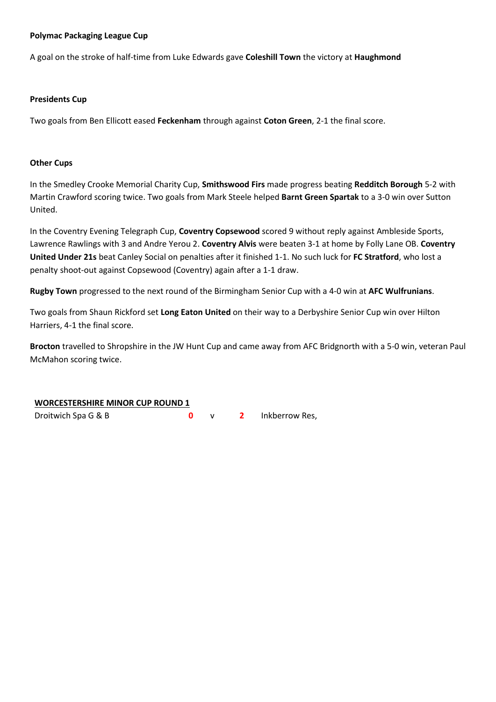## **Polymac Packaging League Cup**

A goal on the stroke of half-time from Luke Edwards gave **Coleshill Town** the victory at **Haughmond**

## **Presidents Cup**

Two goals from Ben Ellicott eased **Feckenham** through against **Coton Green**, 2-1 the final score.

## **Other Cups**

In the Smedley Crooke Memorial Charity Cup, **Smithswood Firs** made progress beating **Redditch Borough** 5-2 with Martin Crawford scoring twice. Two goals from Mark Steele helped **Barnt Green Spartak** to a 3-0 win over Sutton United.

In the Coventry Evening Telegraph Cup, **Coventry Copsewood** scored 9 without reply against Ambleside Sports, Lawrence Rawlings with 3 and Andre Yerou 2. **Coventry Alvis** were beaten 3-1 at home by Folly Lane OB. **Coventry United Under 21s** beat Canley Social on penalties after it finished 1-1. No such luck for **FC Stratford**, who lost a penalty shoot-out against Copsewood (Coventry) again after a 1-1 draw.

**Rugby Town** progressed to the next round of the Birmingham Senior Cup with a 4-0 win at **AFC Wulfrunians**.

Two goals from Shaun Rickford set **Long Eaton United** on their way to a Derbyshire Senior Cup win over Hilton Harriers, 4-1 the final score.

**Brocton** travelled to Shropshire in the JW Hunt Cup and came away from AFC Bridgnorth with a 5-0 win, veteran Paul McMahon scoring twice.

## **WORCESTERSHIRE MINOR CUP ROUND 1**

Droitwich Spa G & B **0** v **2** Inkberrow Res,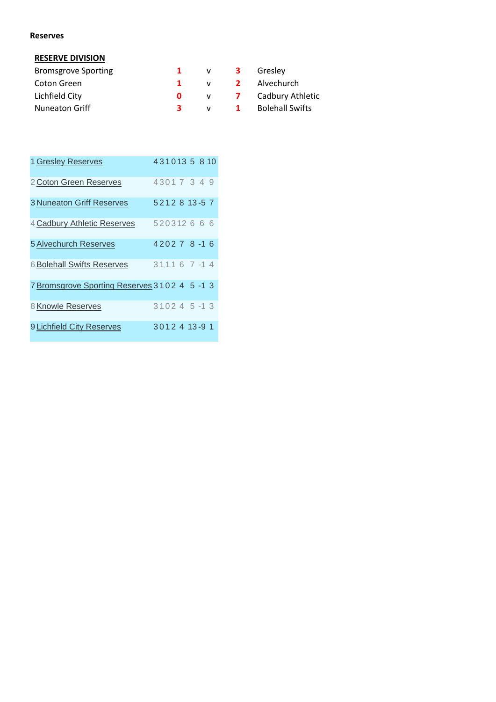#### **Reserves**

## **RESERVE DIVISION**

| <b>Bromsgrove Sporting</b> |    | V              | - 3                     | Greslev                |
|----------------------------|----|----------------|-------------------------|------------------------|
| Coton Green                |    | $\mathbf{V}$   | $\overline{\mathbf{2}}$ | Alvechurch             |
| Lichfield City             |    | $\mathsf{v}$ 7 |                         | Cadbury Athletic       |
| <b>Nuneaton Griff</b>      | 3. |                | $\mathbf{1}$            | <b>Bolehall Swifts</b> |

| 1 Gresley Reserves                           |  |  |                |  | 4310135810 |
|----------------------------------------------|--|--|----------------|--|------------|
| 2 Coton Green Reserves                       |  |  | 43017349       |  |            |
| <b>3 Nuneaton Griff Reserves</b>             |  |  | 5212813-57     |  |            |
| 4 Cadbury Athletic Reserves                  |  |  | 520312666      |  |            |
| <b>5 Alvechurch Reserves</b>                 |  |  | $420278 - 16$  |  |            |
| <b>6 Bolehall Swifts Reserves</b>            |  |  | $31116$ 7 -1 4 |  |            |
| 7 Bromsgrove Sporting Reserves 3102 4 5 -1 3 |  |  |                |  |            |
| 8 Knowle Reserves                            |  |  | $310245 - 13$  |  |            |
| 9 Lichfield City Reserves                    |  |  | 3012 4 13-9 1  |  |            |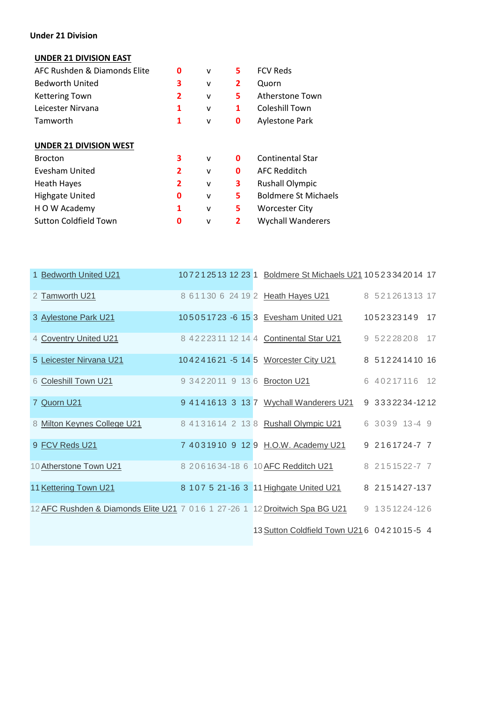## **Under 21 Division**

## **UNDER 21 DIVISION EAST**

| AFC Rushden & Diamonds Elite  | O              | $\mathsf{v}$ | 5 | <b>FCV Reds</b>             |
|-------------------------------|----------------|--------------|---|-----------------------------|
| <b>Bedworth United</b>        | 3              | $\mathsf{v}$ | 2 | Quorn                       |
| <b>Kettering Town</b>         | 2              | v            | 5 | Atherstone Town             |
| Leicester Nirvana             | 1              | v            | 1 | Coleshill Town              |
| Tamworth                      | 1              | v            | 0 | <b>Aylestone Park</b>       |
| <b>UNDER 21 DIVISION WEST</b> |                |              |   |                             |
| <b>Brocton</b>                | 3              | $\mathsf{v}$ | 0 | <b>Continental Star</b>     |
| Evesham United                | $\overline{2}$ | $\mathsf{v}$ | 0 | <b>AFC Redditch</b>         |
| <b>Heath Hayes</b>            | 2              | $\mathsf{v}$ | 3 | <b>Rushall Olympic</b>      |
| <b>Highgate United</b>        | 0              | v            | 5 | <b>Boldmere St Michaels</b> |
| H O W Academy                 | 1              | v            | 5 | <b>Worcester City</b>       |
| <b>Sutton Coldfield Town</b>  | 0              | v            | 2 | <b>Wychall Wanderers</b>    |
|                               |                |              |   |                             |

| 1 Bedworth United U21                                                       |  |  | 107212513 12 23 1 Boldmere St Michaels U21 1052334 2014 17 |                 |  |
|-----------------------------------------------------------------------------|--|--|------------------------------------------------------------|-----------------|--|
| 2 Tamworth U21                                                              |  |  | 8 61130 6 24 19 2 Heath Hayes U21                          | 8 521261313 17  |  |
| 3 Aylestone Park U21                                                        |  |  | 105051723 -6 15 3 Evesham United U21                       | 1052323149 17   |  |
| 4 Coventry United U21                                                       |  |  | 8 42223 11 12 14 4 Continental Star U21                    | 9 52228208 17   |  |
| 5 Leicester Nirvana U21                                                     |  |  | 104241621 -5 14 5 Worcester City U21                       | 8 512241410 16  |  |
| 6 Coleshill Town U21                                                        |  |  | 9 3422011 9 13 6 Brocton U21                               | 6 40217116 12   |  |
| 7 Quorn U21                                                                 |  |  | 9 4141613 3 13 7 Wychall Wanderers U21                     | 9 3332234-1212  |  |
| 8 Milton Keynes College U21                                                 |  |  | 8 4131614 2 13 8 Rushall Olympic U21                       | 6 3039 13-4 9   |  |
| 9 FCV Reds U21                                                              |  |  | 7 4031910 9 12 9 H.O.W. Academy U21                        | $92161724 - 77$ |  |
| 10 Atherstone Town U21                                                      |  |  | 8 2061634-18 6 10 AFC Redditch U21                         | 8 2151522-7 7   |  |
| 11 Kettering Town U21                                                       |  |  | 8 107 5 21-16 3 11 Highgate United U21                     | 8 2151427-137   |  |
| 12 AFC Rushden & Diamonds Elite U21 7 016 1 27-26 1 12 Droitwich Spa BG U21 |  |  |                                                            | 9 1351224-126   |  |
|                                                                             |  |  | 13 Sutton Coldfield Town U21 6 0421015-5 4                 |                 |  |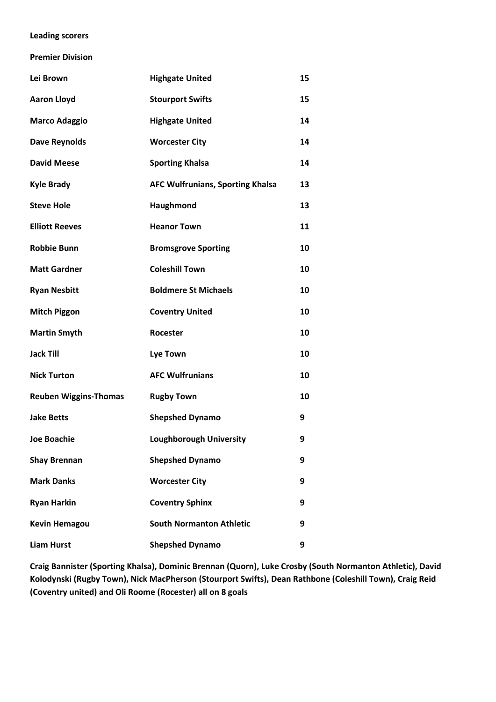## **Leading scorers**

**Premier Division**

| Lei Brown                    | <b>Highgate United</b>                  | 15 |
|------------------------------|-----------------------------------------|----|
| <b>Aaron Lloyd</b>           | <b>Stourport Swifts</b>                 | 15 |
| <b>Marco Adaggio</b>         | <b>Highgate United</b>                  | 14 |
| <b>Dave Reynolds</b>         | <b>Worcester City</b>                   | 14 |
| <b>David Meese</b>           | <b>Sporting Khalsa</b>                  | 14 |
| <b>Kyle Brady</b>            | <b>AFC Wulfrunians, Sporting Khalsa</b> | 13 |
| <b>Steve Hole</b>            | Haughmond                               | 13 |
| <b>Elliott Reeves</b>        | <b>Heanor Town</b>                      | 11 |
| <b>Robbie Bunn</b>           | <b>Bromsgrove Sporting</b>              | 10 |
| <b>Matt Gardner</b>          | <b>Coleshill Town</b>                   | 10 |
| <b>Ryan Nesbitt</b>          | <b>Boldmere St Michaels</b>             | 10 |
| <b>Mitch Piggon</b>          | <b>Coventry United</b>                  | 10 |
| <b>Martin Smyth</b>          | Rocester                                | 10 |
| <b>Jack Till</b>             | <b>Lye Town</b>                         | 10 |
| <b>Nick Turton</b>           | <b>AFC Wulfrunians</b>                  | 10 |
| <b>Reuben Wiggins-Thomas</b> | <b>Rugby Town</b>                       | 10 |
| <b>Jake Betts</b>            | <b>Shepshed Dynamo</b>                  | 9  |
| <b>Joe Boachie</b>           | <b>Loughborough University</b>          | 9  |
| <b>Shay Brennan</b>          | <b>Shepshed Dynamo</b>                  | 9  |
| <b>Mark Danks</b>            | <b>Worcester City</b>                   | 9  |
| <b>Ryan Harkin</b>           | <b>Coventry Sphinx</b>                  | 9  |
| <b>Kevin Hemagou</b>         | <b>South Normanton Athletic</b>         | 9  |
| <b>Liam Hurst</b>            | <b>Shepshed Dynamo</b>                  | 9  |

**Craig Bannister (Sporting Khalsa), Dominic Brennan (Quorn), Luke Crosby (South Normanton Athletic), David Kolodynski (Rugby Town), Nick MacPherson (Stourport Swifts), Dean Rathbone (Coleshill Town), Craig Reid (Coventry united) and Oli Roome (Rocester) all on 8 goals**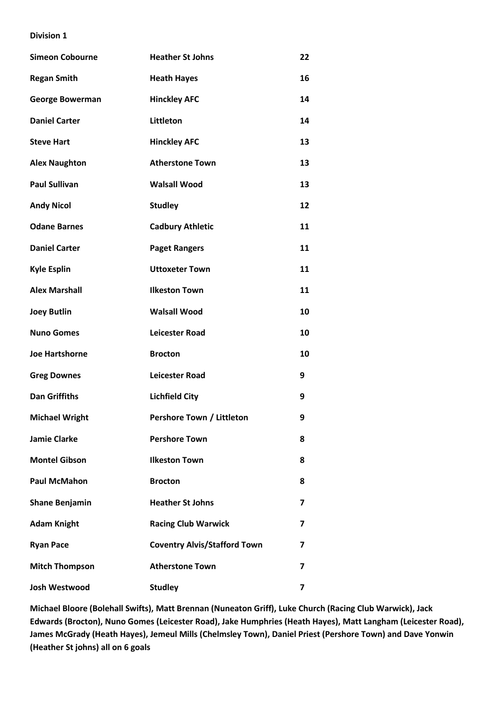| <b>Simeon Cobourne</b> | <b>Heather St Johns</b>             | 22 |
|------------------------|-------------------------------------|----|
| <b>Regan Smith</b>     | <b>Heath Hayes</b>                  | 16 |
| <b>George Bowerman</b> | <b>Hinckley AFC</b>                 | 14 |
| <b>Daniel Carter</b>   | <b>Littleton</b>                    | 14 |
| <b>Steve Hart</b>      | <b>Hinckley AFC</b>                 | 13 |
| <b>Alex Naughton</b>   | <b>Atherstone Town</b>              | 13 |
| <b>Paul Sullivan</b>   | <b>Walsall Wood</b>                 | 13 |
| <b>Andy Nicol</b>      | <b>Studley</b>                      | 12 |
| <b>Odane Barnes</b>    | <b>Cadbury Athletic</b>             | 11 |
| <b>Daniel Carter</b>   | <b>Paget Rangers</b>                | 11 |
| <b>Kyle Esplin</b>     | <b>Uttoxeter Town</b>               | 11 |
| <b>Alex Marshall</b>   | <b>Ilkeston Town</b>                | 11 |
| <b>Joey Butlin</b>     | <b>Walsall Wood</b>                 | 10 |
| <b>Nuno Gomes</b>      | <b>Leicester Road</b>               | 10 |
| <b>Joe Hartshorne</b>  | <b>Brocton</b>                      | 10 |
| <b>Greg Downes</b>     | <b>Leicester Road</b>               | 9  |
| <b>Dan Griffiths</b>   | <b>Lichfield City</b>               | 9  |
| <b>Michael Wright</b>  | Pershore Town / Littleton           | 9  |
| <b>Jamie Clarke</b>    | <b>Pershore Town</b>                | 8  |
| <b>Montel Gibson</b>   | <b>Ilkeston Town</b>                | 8  |
| <b>Paul McMahon</b>    | <b>Brocton</b>                      | 8  |
| <b>Shane Benjamin</b>  | <b>Heather St Johns</b>             | 7  |
| <b>Adam Knight</b>     | <b>Racing Club Warwick</b>          | 7  |
| <b>Ryan Pace</b>       | <b>Coventry Alvis/Stafford Town</b> | 7  |
| <b>Mitch Thompson</b>  | <b>Atherstone Town</b>              | 7  |
| Josh Westwood          | <b>Studley</b>                      | 7  |

**Michael Bloore (Bolehall Swifts), Matt Brennan (Nuneaton Griff), Luke Church (Racing Club Warwick), Jack Edwards (Brocton), Nuno Gomes (Leicester Road), Jake Humphries (Heath Hayes), Matt Langham (Leicester Road), James McGrady (Heath Hayes), Jemeul Mills (Chelmsley Town), Daniel Priest (Pershore Town) and Dave Yonwin (Heather St johns) all on 6 goals**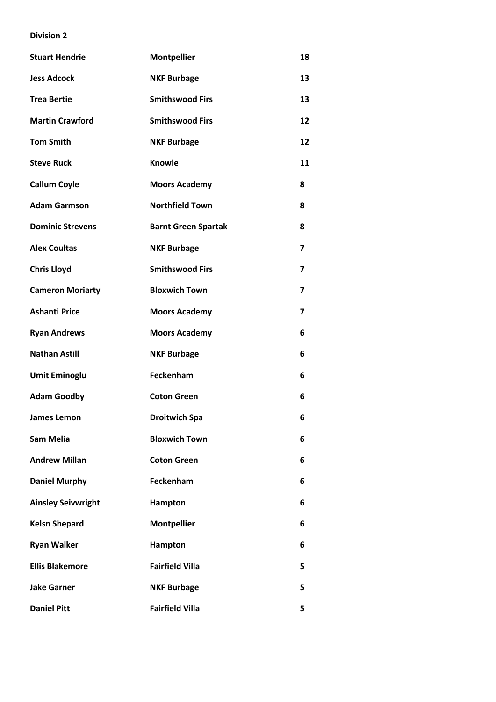| <b>Stuart Hendrie</b>     | <b>Montpellier</b>         | 18                      |
|---------------------------|----------------------------|-------------------------|
| <b>Jess Adcock</b>        | <b>NKF Burbage</b>         | 13                      |
| <b>Trea Bertie</b>        | <b>Smithswood Firs</b>     | 13                      |
| <b>Martin Crawford</b>    | <b>Smithswood Firs</b>     | 12                      |
| <b>Tom Smith</b>          | <b>NKF Burbage</b>         | 12                      |
| <b>Steve Ruck</b>         | <b>Knowle</b>              | 11                      |
| <b>Callum Coyle</b>       | <b>Moors Academy</b>       | 8                       |
| <b>Adam Garmson</b>       | <b>Northfield Town</b>     | 8                       |
| <b>Dominic Strevens</b>   | <b>Barnt Green Spartak</b> | 8                       |
| <b>Alex Coultas</b>       | <b>NKF Burbage</b>         | $\overline{\mathbf{z}}$ |
| <b>Chris Lloyd</b>        | <b>Smithswood Firs</b>     | 7                       |
| <b>Cameron Moriarty</b>   | <b>Bloxwich Town</b>       | 7                       |
| <b>Ashanti Price</b>      | <b>Moors Academy</b>       | 7                       |
| <b>Ryan Andrews</b>       | <b>Moors Academy</b>       | 6                       |
| <b>Nathan Astill</b>      | <b>NKF Burbage</b>         | 6                       |
| <b>Umit Eminoglu</b>      | Feckenham                  | 6                       |
| <b>Adam Goodby</b>        | <b>Coton Green</b>         | 6                       |
| <b>James Lemon</b>        | <b>Droitwich Spa</b>       | 6                       |
| <b>Sam Melia</b>          | <b>Bloxwich Town</b>       | 6                       |
| <b>Andrew Millan</b>      | <b>Coton Green</b>         | 6                       |
| <b>Daniel Murphy</b>      | Feckenham                  | 6                       |
| <b>Ainsley Seivwright</b> | Hampton                    | 6                       |
| <b>Kelsn Shepard</b>      | <b>Montpellier</b>         | 6                       |
| <b>Ryan Walker</b>        | Hampton                    | 6                       |
| <b>Ellis Blakemore</b>    | <b>Fairfield Villa</b>     | 5                       |
| <b>Jake Garner</b>        | <b>NKF Burbage</b>         | 5                       |
| <b>Daniel Pitt</b>        | <b>Fairfield Villa</b>     | 5                       |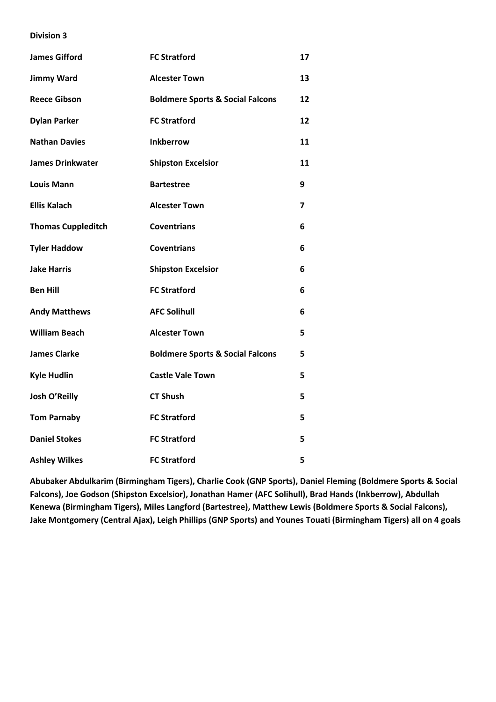| <b>James Gifford</b>      | <b>FC Stratford</b>                         | 17 |
|---------------------------|---------------------------------------------|----|
| <b>Jimmy Ward</b>         | <b>Alcester Town</b>                        | 13 |
| <b>Reece Gibson</b>       | <b>Boldmere Sports &amp; Social Falcons</b> | 12 |
| <b>Dylan Parker</b>       | <b>FC Stratford</b>                         | 12 |
| <b>Nathan Davies</b>      | <b>Inkberrow</b>                            | 11 |
| <b>James Drinkwater</b>   | <b>Shipston Excelsior</b>                   | 11 |
| <b>Louis Mann</b>         | <b>Bartestree</b>                           | 9  |
| <b>Ellis Kalach</b>       | <b>Alcester Town</b>                        | 7  |
| <b>Thomas Cuppleditch</b> | <b>Coventrians</b>                          | 6  |
| <b>Tyler Haddow</b>       | <b>Coventrians</b>                          | 6  |
| <b>Jake Harris</b>        | <b>Shipston Excelsior</b>                   | 6  |
| <b>Ben Hill</b>           | <b>FC Stratford</b>                         | 6  |
| <b>Andy Matthews</b>      | <b>AFC Solihull</b>                         | 6  |
| <b>William Beach</b>      | <b>Alcester Town</b>                        | 5  |
| <b>James Clarke</b>       | <b>Boldmere Sports &amp; Social Falcons</b> | 5  |
| <b>Kyle Hudlin</b>        | <b>Castle Vale Town</b>                     | 5  |
| Josh O'Reilly             | <b>CT Shush</b>                             | 5  |
| <b>Tom Parnaby</b>        | <b>FC Stratford</b>                         | 5  |
| <b>Daniel Stokes</b>      | <b>FC Stratford</b>                         | 5  |
| <b>Ashley Wilkes</b>      | <b>FC Stratford</b>                         | 5  |

**Abubaker Abdulkarim (Birmingham Tigers), Charlie Cook (GNP Sports), Daniel Fleming (Boldmere Sports & Social Falcons), Joe Godson (Shipston Excelsior), Jonathan Hamer (AFC Solihull), Brad Hands (Inkberrow), Abdullah Kenewa (Birmingham Tigers), Miles Langford (Bartestree), Matthew Lewis (Boldmere Sports & Social Falcons), Jake Montgomery (Central Ajax), Leigh Phillips (GNP Sports) and Younes Touati (Birmingham Tigers) all on 4 goals**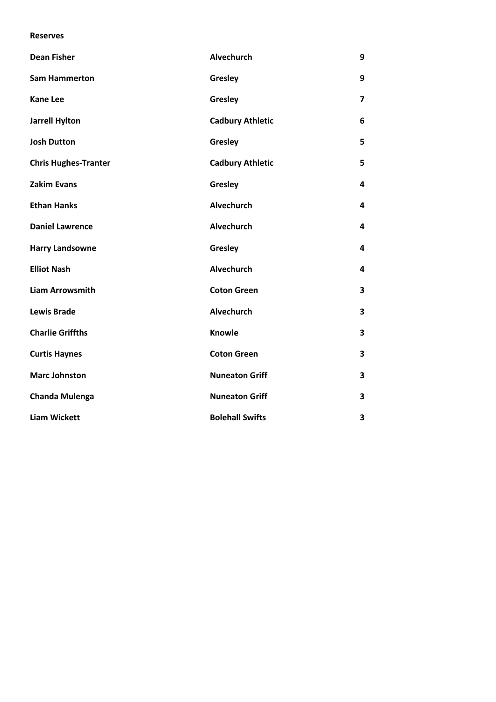#### **Reserves**

| <b>Dean Fisher</b>          | <b>Alvechurch</b>       | 9                       |
|-----------------------------|-------------------------|-------------------------|
| <b>Sam Hammerton</b>        | Gresley                 | 9                       |
| <b>Kane Lee</b>             | Gresley                 | $\overline{\mathbf{z}}$ |
| <b>Jarrell Hylton</b>       | <b>Cadbury Athletic</b> | 6                       |
| <b>Josh Dutton</b>          | Gresley                 | 5                       |
| <b>Chris Hughes-Tranter</b> | <b>Cadbury Athletic</b> | 5                       |
| <b>Zakim Evans</b>          | Gresley                 | 4                       |
| <b>Ethan Hanks</b>          | Alvechurch              | 4                       |
| <b>Daniel Lawrence</b>      | Alvechurch              | 4                       |
| <b>Harry Landsowne</b>      | Gresley                 | 4                       |
| <b>Elliot Nash</b>          | Alvechurch              | 4                       |
| <b>Liam Arrowsmith</b>      | <b>Coton Green</b>      | 3                       |
| <b>Lewis Brade</b>          | Alvechurch              | 3                       |
| <b>Charlie Griffths</b>     | Knowle                  | 3                       |
| <b>Curtis Haynes</b>        | <b>Coton Green</b>      | 3                       |
| <b>Marc Johnston</b>        | <b>Nuneaton Griff</b>   | 3                       |
| <b>Chanda Mulenga</b>       | <b>Nuneaton Griff</b>   | 3                       |
| <b>Liam Wickett</b>         | <b>Bolehall Swifts</b>  | 3                       |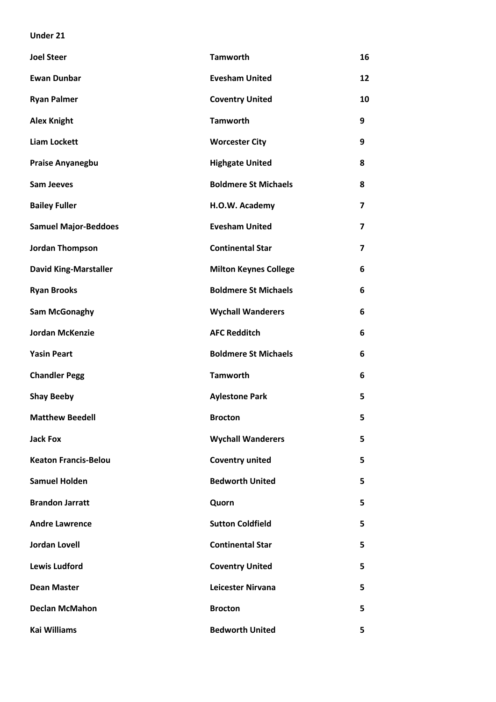## **Under 21**

| <b>Joel Steer</b>            | <b>Tamworth</b>              | 16                      |
|------------------------------|------------------------------|-------------------------|
| <b>Ewan Dunbar</b>           | <b>Evesham United</b>        | 12                      |
| <b>Ryan Palmer</b>           | <b>Coventry United</b>       | 10                      |
| <b>Alex Knight</b>           | <b>Tamworth</b>              | 9                       |
| <b>Liam Lockett</b>          | <b>Worcester City</b>        | 9                       |
| <b>Praise Anyanegbu</b>      | <b>Highgate United</b>       | 8                       |
| <b>Sam Jeeves</b>            | <b>Boldmere St Michaels</b>  | 8                       |
| <b>Bailey Fuller</b>         | H.O.W. Academy               | $\overline{\mathbf{z}}$ |
| <b>Samuel Major-Beddoes</b>  | <b>Evesham United</b>        | $\overline{\mathbf{z}}$ |
| <b>Jordan Thompson</b>       | <b>Continental Star</b>      | 7                       |
| <b>David King-Marstaller</b> | <b>Milton Keynes College</b> | 6                       |
| <b>Ryan Brooks</b>           | <b>Boldmere St Michaels</b>  | 6                       |
| <b>Sam McGonaghy</b>         | <b>Wychall Wanderers</b>     | 6                       |
| <b>Jordan McKenzie</b>       | <b>AFC Redditch</b>          | 6                       |
| <b>Yasin Peart</b>           | <b>Boldmere St Michaels</b>  | 6                       |
| <b>Chandler Pegg</b>         | <b>Tamworth</b>              | 6                       |
| <b>Shay Beeby</b>            | <b>Aylestone Park</b>        | 5                       |
| <b>Matthew Beedell</b>       | <b>Brocton</b>               | 5                       |
| Jack Fox                     | <b>Wychall Wanderers</b>     | 5                       |
| <b>Keaton Francis-Belou</b>  | <b>Coventry united</b>       | 5                       |
| <b>Samuel Holden</b>         | <b>Bedworth United</b>       | 5                       |
| <b>Brandon Jarratt</b>       | Quorn                        | 5                       |
| <b>Andre Lawrence</b>        | <b>Sutton Coldfield</b>      | 5                       |
| <b>Jordan Lovell</b>         | <b>Continental Star</b>      | 5                       |
| <b>Lewis Ludford</b>         | <b>Coventry United</b>       | 5                       |
| <b>Dean Master</b>           | <b>Leicester Nirvana</b>     | 5                       |
| <b>Declan McMahon</b>        | <b>Brocton</b>               | 5                       |
| <b>Kai Williams</b>          | <b>Bedworth United</b>       | 5                       |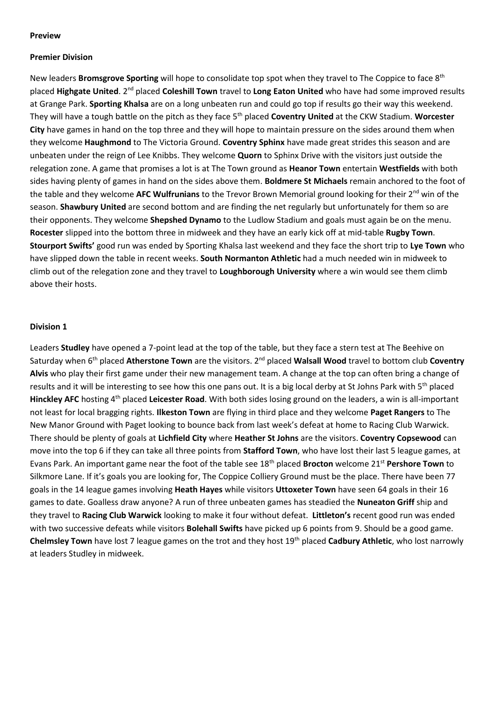#### **Preview**

## **Premier Division**

New leaders **Bromsgrove Sporting** will hope to consolidate top spot when they travel to The Coppice to face 8th placed **Highgate United**. 2nd placed **Coleshill Town** travel to **Long Eaton United** who have had some improved results at Grange Park. **Sporting Khalsa** are on a long unbeaten run and could go top if results go their way this weekend. They will have a tough battle on the pitch as they face 5th placed **Coventry United** at the CKW Stadium. **Worcester City** have games in hand on the top three and they will hope to maintain pressure on the sides around them when they welcome **Haughmond** to The Victoria Ground. **Coventry Sphinx** have made great strides this season and are unbeaten under the reign of Lee Knibbs. They welcome **Quorn** to Sphinx Drive with the visitors just outside the relegation zone. A game that promises a lot is at The Town ground as **Heanor Town** entertain **Westfields** with both sides having plenty of games in hand on the sides above them. **Boldmere St Michaels** remain anchored to the foot of the table and they welcome AFC Wulfrunians to the Trevor Brown Memorial ground looking for their 2<sup>nd</sup> win of the season. **Shawbury United** are second bottom and are finding the net regularly but unfortunately for them so are their opponents. They welcome **Shepshed Dynamo** to the Ludlow Stadium and goals must again be on the menu. **Rocester** slipped into the bottom three in midweek and they have an early kick off at mid-table **Rugby Town**. **Stourport Swifts'** good run was ended by Sporting Khalsa last weekend and they face the short trip to **Lye Town** who have slipped down the table in recent weeks. **South Normanton Athletic** had a much needed win in midweek to climb out of the relegation zone and they travel to **Loughborough University** where a win would see them climb above their hosts.

#### **Division 1**

Leaders **Studley** have opened a 7-point lead at the top of the table, but they face a stern test at The Beehive on Saturday when 6th placed **Atherstone Town** are the visitors. 2nd placed **Walsall Wood** travel to bottom club **Coventry Alvis** who play their first game under their new management team. A change at the top can often bring a change of results and it will be interesting to see how this one pans out. It is a big local derby at St Johns Park with 5<sup>th</sup> placed **Hinckley AFC** hosting 4th placed **Leicester Road**. With both sides losing ground on the leaders, a win is all-important not least for local bragging rights. **Ilkeston Town** are flying in third place and they welcome **Paget Rangers** to The New Manor Ground with Paget looking to bounce back from last week's defeat at home to Racing Club Warwick. There should be plenty of goals at **Lichfield City** where **Heather St Johns** are the visitors. **Coventry Copsewood** can move into the top 6 if they can take all three points from **Stafford Town**, who have lost their last 5 league games, at Evans Park. An important game near the foot of the table see 18th placed **Brocton** welcome 21st **Pershore Town** to Silkmore Lane. If it's goals you are looking for, The Coppice Colliery Ground must be the place. There have been 77 goals in the 14 league games involving **Heath Hayes** while visitors **Uttoxeter Town** have seen 64 goals in their 16 games to date. Goalless draw anyone? A run of three unbeaten games has steadied the **Nuneaton Griff** ship and they travel to **Racing Club Warwick** looking to make it four without defeat. **Littleton's** recent good run was ended with two successive defeats while visitors **Bolehall Swifts** have picked up 6 points from 9. Should be a good game. **Chelmsley Town** have lost 7 league games on the trot and they host 19th placed **Cadbury Athletic**, who lost narrowly at leaders Studley in midweek.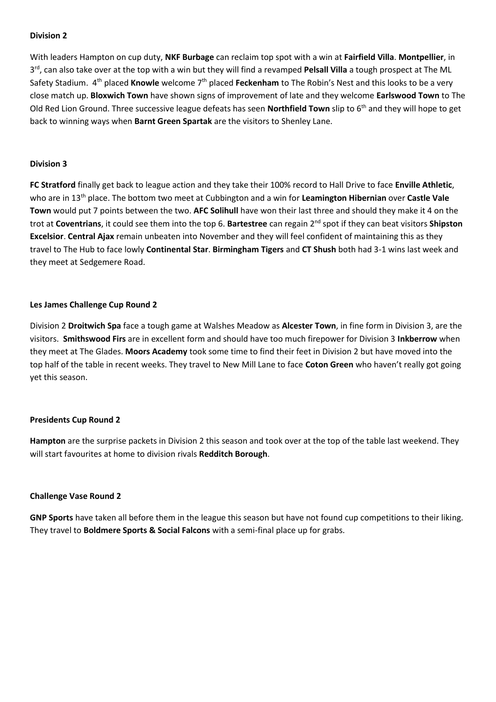With leaders Hampton on cup duty, **NKF Burbage** can reclaim top spot with a win at **Fairfield Villa**. **Montpellier**, in 3 rd, can also take over at the top with a win but they will find a revamped **Pelsall Villa** a tough prospect at The ML Safety Stadium. 4<sup>th</sup> placed **Knowle** welcome 7<sup>th</sup> placed **Feckenham** to The Robin's Nest and this looks to be a very close match up. **Bloxwich Town** have shown signs of improvement of late and they welcome **Earlswood Town** to The Old Red Lion Ground. Three successive league defeats has seen **Northfield Town** slip to 6<sup>th</sup> and they will hope to get back to winning ways when **Barnt Green Spartak** are the visitors to Shenley Lane.

## **Division 3**

**FC Stratford** finally get back to league action and they take their 100% record to Hall Drive to face **Enville Athletic**, who are in 13th place. The bottom two meet at Cubbington and a win for **Leamington Hibernian** over **Castle Vale Town** would put 7 points between the two. **AFC Solihull** have won their last three and should they make it 4 on the trot at **Coventrians**, it could see them into the top 6. **Bartestree** can regain 2nd spot if they can beat visitors **Shipston Excelsior**. **Central Ajax** remain unbeaten into November and they will feel confident of maintaining this as they travel to The Hub to face lowly **Continental Star**. **Birmingham Tigers** and **CT Shush** both had 3-1 wins last week and they meet at Sedgemere Road.

## **Les James Challenge Cup Round 2**

Division 2 **Droitwich Spa** face a tough game at Walshes Meadow as **Alcester Town**, in fine form in Division 3, are the visitors. **Smithswood Firs** are in excellent form and should have too much firepower for Division 3 **Inkberrow** when they meet at The Glades. **Moors Academy** took some time to find their feet in Division 2 but have moved into the top half of the table in recent weeks. They travel to New Mill Lane to face **Coton Green** who haven't really got going yet this season.

## **Presidents Cup Round 2**

**Hampton** are the surprise packets in Division 2 this season and took over at the top of the table last weekend. They will start favourites at home to division rivals **Redditch Borough**.

## **Challenge Vase Round 2**

**GNP Sports** have taken all before them in the league this season but have not found cup competitions to their liking. They travel to **Boldmere Sports & Social Falcons** with a semi-final place up for grabs.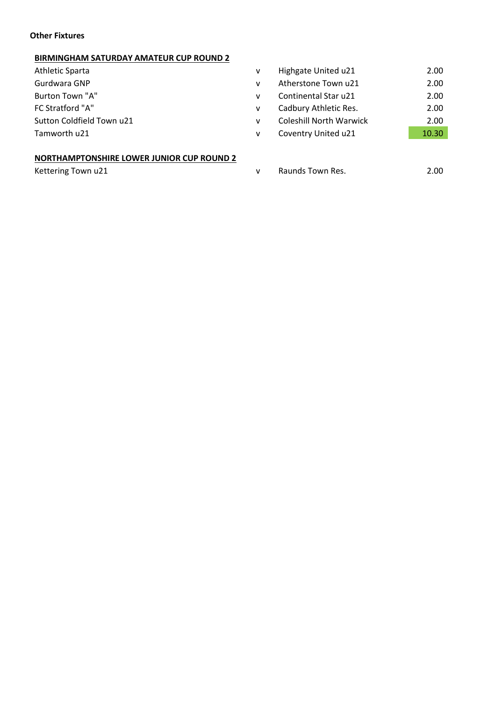## **Other Fixtures**

## **BIRMINGHAM SATURDAY AMATEUR CUP ROUND 2**

- Athletic Sparta
- Gurdwara GNP
- Burton Town "A"
- FC Stratford "A"
- Sutton Coldfield Town u21
- Tamworth u21

## **NORTHAMPTONSHIRE LOWER JUNIOR CUP ROUND 2**

| v            | Highgate United u21            | 2.00  |
|--------------|--------------------------------|-------|
| $\mathsf{v}$ | Atherstone Town u21            | 2.00  |
| $\mathsf{v}$ | Continental Star u21           | 2.00  |
| $\mathsf{v}$ | Cadbury Athletic Res.          | 2.00  |
| $\mathsf{v}$ | <b>Coleshill North Warwick</b> | 2.00  |
| v            | Coventry United u21            | 10.30 |
|              |                                |       |

Kettering Town u21 and the control of the Raunds Town Res. 2.00